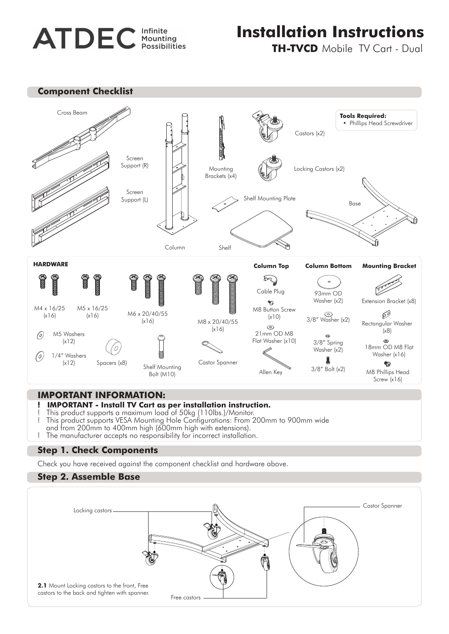# **ATDEC** Infinite

# **Installation Instructions**

**TH-TVCD** Mobile TV Cart - Dual





#### **IMPORTANT INFORMATION:**

- **! IMPORTANT Install TV Cart as per installation instruction.** This product supports a maximum load of 50kg (110lbs.)/Monitor.
- ! This product supports VESA Mounting Hole Configurations: From 200mm to 900mm wide
- and from 200mm to 400mm high (600mm high with extensions).
- ! The manufacturer accepts no responsibility for incorrect installation.

### **Step 1. Check Components**

Check you have received against the component checklist and hardware above.

### **Step 2. Assemble Base**

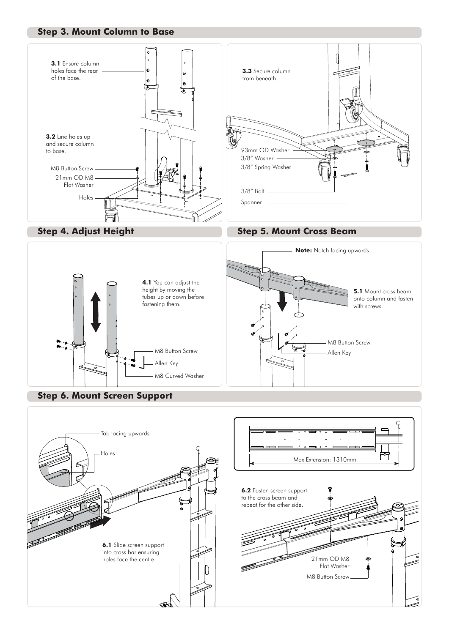#### **Step 3. Mount Column to Base**







## **Step 6. Mount Screen Support**